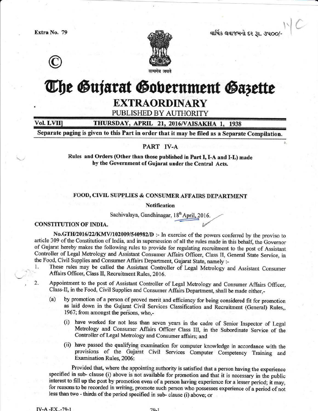

વાર્ષિક લવાજમનો દર રૂા. ૩૫૦૦/



# The Gujarat Gobernment Gazette

### **EXTRAORDINARY**

#### PUBLISHED BY AUTHORITY

#### Vol. LVII] THURSDAY, APRIL 21, 2016/VAISAKHA 1, 1938

Separate paging is given to this Part in order that it may be filed as a Separate Compilation.

#### PART IV-A

Rules and Orders (Other than those published in Part I, I-A and I-L) made by the Government of Gujarat under the Central Acts.

#### FOOD, CIVIL SUPPLIES & CONSUMER AFFAIRS DEPARTMENT

**Notification** 

Sachivalaya, Gandhinagar, 18th April, 2016.

#### CONSTITUTION OF INDIA.

No.GTH/2016/22/KMV/102009/540982/D :- In exercise of the powers conferred by the proviso to article 309 of the Constitution of India, and in supersession of all the rules made in this behalf, the Governor of Gujarat hereby makes the following rules to provide for regulating recruitment to the post of Assistant Controller of Legal Metrology and Assistant Consumer Affairs Officer, Class II, General State Service, in the Food, Civil Supplies and Consumer Affairs Department, Gujarat State, namely :-

- These rules may be called the Assistant Controller of Legal Metrology and Assistant Consumer 1. Affairs Officer, Class II, Recruitment Rules, 2016.
- $2.$ Appointment to the post of Assistant Controller of Legal Metrology and Consumer Affairs Officer, Class-II, in the Food, Civil Supplies and Consumer Affairs Department, shall be made either,
	- by promotion of a person of proved merit and efficiency for being considered fit for promotion  $(a)$ as laid down in the Gujarat Civil Services Classification and Recruitment (General) Rules,, 1967; from amongst the persons, who,-
		- (i) have worked for not less than seven years in the cadre of Senior Inspector of Legal Metrology and Consumer Affairs Officer Class III, in the Subordinate Service of the Controller of Legal Metrology and Consumer affairs; and
		- (ii) have passed the qualifying examination for computer knowledge in accordance with the provisions of the Gujarat Civil Services Computer Competency Training and Examination Rules, 2006:

Provided that, where the appointing authority is satisfied that a person having the experience specified in sub- clause (i) above is not available for promotion and that it is necessary in the public interest to fill up the post by promotion even of a person having experience for a lesser period; it may, for reasons to be recorded in writing, promote such person who possesses experience of a period of not less than two - thirds of the period specified in sub- clause (i) above; or

 $79-1$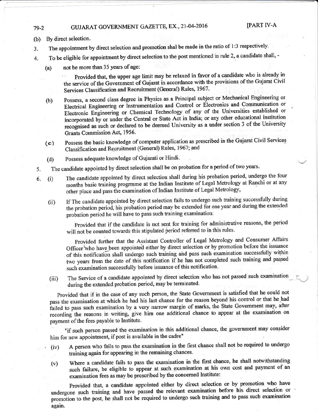### 79-2 GUJARAT GOVERNMENT GAZETTE, EX., 21-04-2016 [PART IV-A

- (b) By direct selection.
- 3. The appointrnent by direct selection and promotion shal be made in the ratio of 1:3 respectively'
- 4. To be eligible for appointrnent by direct selection to the post mentioned in rule 2, a candidate shall,
	- (a) not be more than 35 Years of age:

provided that, the upper age limit may be relaxed in favor of a candidate who is already in the service of the Government of Gujarat in accordance with the provisions of the Gujarat Civil services classification and Recruitment (General) Rules, 1967.

- (b) possess, a second class degree in Physics as a Principal subject or Mechanical Engineering or Electrical Engineering or Lstrumentation and Control or Electronics and Communication or Electronic Engineering or Chemical Technology of any of the Universities established or incorporated by or under the Central or State Act in India; or any other educational institution recognised as such or declared to be deemed University as a under section 3 of the University Grants Commission Act, 1956'
- (c) possess the basic knowledge of computer application as prescribed in the Gujarat Civil Services Classification and Recruitment (General) Rules, 1967; and
- (d) Possess adequate knowledge of Gujarati or Hindi.
- 5. The candidate appointed by direct selection shall be on probation for a period of two years.
- 6. (i) The candidate appointed by direct selection shall during his probation period, undergo the four months basic training progrmme at the lndian Institute of Legai Metrology at Ranchi or at any other place and pass the examination of Indian Institute of Legal Metrology,
	- (ii) If The candidate appointed by direct selection fails to undergo such training suceessfully during the probation period, his probation period may be extended for one year and during the extended probation period he will have to pass such training examination:

provided that if the candidate is not sent for training for administrative reasons, the period will not be counted towards this stipulated period referred to in this rules.

Frovided further that the Assistant Controller of Legal Metrology and Consumer Affairs Officer who have been appointed either by direct selection or by promotion before the issuance of this notification shall undergo such training and pass such examination successfully within two years from the date of this notification if he has not completed such training and passed such examination successfully before issuance of this notification.

(iii) The Service of a candidate appointed by direct selection who has not passed such examination during the extended probation period, may be terminated.

Provided that if in the case of any such person, the State Government is satisfied that he could not pass the examination at which he had his last chance for the reason beyond his control or that he-had failed to pass such examination by a very narrow margin of marks, the State Government may, after recording the reasons in writing, give him one additional chance to appear at the examination on payment of the fees payable to Institute.

"if such person passed the examination in this additional chance, the government may consider him for new appointment, if post is available in the cadre"

- (iv) A person who fails to pass the examination in the first chance shall not be required to undergo training again for appearing in the remaining chances.
- (v) Where a candidate fails to pass the examination in the first chance, he shall notwithstanding such failure, be eligible to appear at such examination at his own cost and payment of an examination fees as may be prescribed by the concerned Institute:

Provided that, a candidate appointed either by direct selection or by promotion who have undergone such training and have passed the relevant examination before his direct selection or promotion to the post, he shall not be required to undergo such training and to pass such examination again.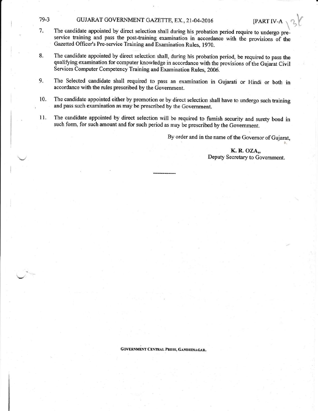#### 79-3 GUJARAT GOVERNMENT GAZETTE, EX., 21-04-2016 [PART IV-A

- 7. The candidate appointed by direct selection shall during his probation period require to undergo preservice training and pass the post-training examination in accordance with the provisions of the Gazetted Officer's Pre-service Training and Examination Rules, 1970.
- 8. The candidate appointed by direct seleetion shall, during his probation period, be required to pass the qualifying examination for computer knowledge in accordance with the provisions of the Gujarat Civil Services Computer Competency Training and Examination Rules, 2006.
- 9. The Selected candidate shall required to pass an examination in Gujarati or Hindi or both in accordance with the rules prescribed by the Government.
- 10. The candidate appointed either by promotion or by direct selection shall have to undergo such training and pass such examination as may be prescribed by the Government.
- 11. The candidate appointed by direct selection will be required to furnish security and surety bond in such form, for such amount and for such period as rnay be prescribed by the Government.

By order and in the name of the Governor of Gujarat,

K. R. OZA,, Deputy Secretary to Government.

GOVERNMENT CENTRAL PRESS, GANDHINAGAR.